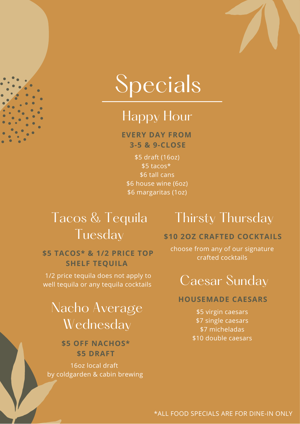

### Happy Hour

**EVERY DAY FROM 3-5 & 9-CLOSE**

\$5 draft (16oz) \$5 tacos\* \$6 tall cans \$6 house wine (6oz) \$6 margaritas (1oz)

### Tacos & Tequila Tuesday

#### **\$5 TACOS\* & 1/2 PRICE TOP SHELF TEQUILA**

1/2 price tequila does not apply to well tequila or any tequila cocktails

# Nacho Average Wednesday

#### **\$5 OFF NACHOS\* \$5 DRAFT**

16oz local draft by coldgarden & cabin brewing

## Thirsty Thursday

#### **\$10 2OZ CRAFTED COCKTAILS**

choose from any of our signature crafted cocktails



#### **HOUSEMADE CAESARS**

\$5 virgin caesars \$7 single caesars \$7 micheladas \$10 double caesars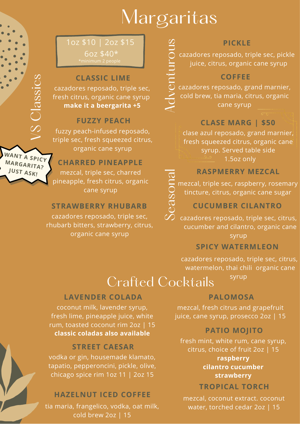# Margaritas

 $\overline{\phantom{a}}$  $\Box$  $\overline{\phantom{0}}$ o $\Box$  $\mathcal O$ 

6oz \$40\*

#### **CLASSIC LIME**

cazadores reposado, triple sec, fresh citrus, organic cane syrup **make it a beergarita +5**

#### **FUZZY PEACH**

 triple sec, fresh squeezed citrus, fuzzy peach-infused reposado, organic cane syrup

#### **CHARRED PINEAPPLE**

**W ANT <sup>A</sup> SPICY M ARGARITA? JUST ASK!**

 $\geqslant$ 

 $\mathcal O$ 

 $\overline{\text{C}}$ 

sic

 $\mathcal O$ 

 $\cal{O}$ 

mezcal, triple sec, charred pineapple, fresh citrus, organic cane syrup

#### **STRAWBERRY RHUBARB**

cazadores reposado, triple sec, rhubarb bitters, strawberry, citrus, organic cane syrup

#### **PICKLE**

cazadores reposado, triple sec, pickle juice, citrus, organic cane syrup

#### **COFFEE**

**d**  $\geqslant$  cold brew, tia maria, citrus, organic  $\mathbb O$  $\subseteq$  cazadores reposado, grand marnier, cane syrup

#### **CLASE MARG | \$50**

 $\overline{\mathbf{a}}$ clase azul reposado, grand marnier, fresh squeezed citrus, organic cane syrup. Served table side 1.5oz only

#### **RASPMERRY MEZCAL**

 tincture, citrus, organic cane sugar mezcal, triple sec, raspberry, rosemary

#### **CUCUMBER CILANTRO**

cazadores reposado, triple sec, citrus, cucumber and cilantro, organic cane syrup

#### **SPICY WATERMLEON**

cazadores reposado, triple sec, citrus, watermelon, thai chili organic cane

syrup

## Crafted Cocktails

 $\mathcal O$  $\mathbb O$  $\infty$  $\mathcal O$ o

 $\subseteq$ 

#### **LAVENDER COLADA**

coconut milk, lavender syrup, fresh lime, pineapple juice, white rum, toasted coconut rim 2oz | 15 **classic coladas also available**

#### **STREET CAESAR**

vodka or gin, housemade klamato, tapatio, pepperoncini, pickle, olive, chicago spice rim 1oz 11 | 2oz 15

#### **HAZELNUT ICED COFFEE**

tia maria, frangelico, vodka, oat milk, cold brew 2oz | 15

#### **PALOMOSA**

mezcal, fresh citrus and grapefruit juice, cane syrup, prosecco 2oz | 15

#### **PATIO MOJITO**

fresh mint, white rum, cane syrup, citrus, choice of fruit 2oz | 15 **raspberry cilantro cucumber strawberry**

#### **TROPICAL TORCH**

mezcal, coconut extract. coconut water, torched cedar 2oz | 15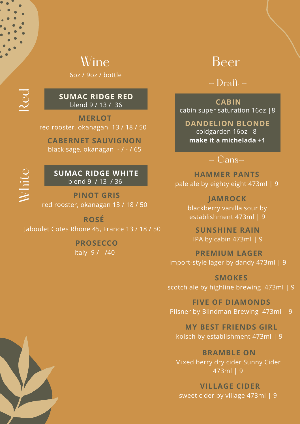### Wine 6oz / 9oz / bottle

**SUMAC RIDGE RED** blend 9 / 13 / 36

**MERLOT** red rooster, okanagan 13 / 18 / 50

**CABERNET SAUVIGNON** black sage, okanagan - / - / 65

**SUMAC RIDGE WHITE** blend 9 / 13 / 36

**PINOT GRIS** red rooster, okanagan 13 / 18 / 50

**ROSÉ** Jaboulet Cotes Rhone 45, France 13 / 18 / 50

> **PROSECCO** italy 9 / - /40

### Beer

- Draft -

**CABIN** cabin super saturation 16oz |8

**DANDELION BLONDE** coldgarden 16oz |8 **make it a michelada +1**

 $-Cans-$ 

**HAMMER PANTS** pale ale by eighty eight 473ml | 9

> **JAMROCK** blackberry vanilla sour by establishment 473ml | 9

**SUNSHINE RAIN** IPA by cabin 473ml | 9

**PREMIUM LAGER** import-style lager by dandy 473ml | 9

**SMOKES** scotch ale by highline brewing 473ml | 9

**FIVE OF DIAMONDS** Pilsner by Blindman Brewing 473ml | 9

**MY BEST FRIENDS GIRL** kolsch by establishment 473ml | 9

**BRAMBLE ON** Mixed berry dry cider Sunny Cider 473ml | 9

**VILLAGE CIDER** sweet cider by village 473ml | 9



 $\geqslant$ 

hit

 $\mathbb O$ 

 $\boldsymbol{\sim}$  $\mathbb O$ **d**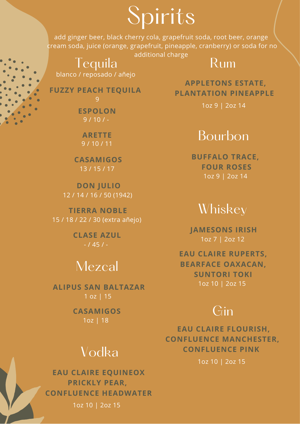# Spirits

add ginger beer, black cherry cola, grapefruit soda, root beer, orange cream soda, juice (orange, grapefruit, pineapple, cranberry) or soda for no additional charge

Tequila blanco / reposado / añejo Rum

**FUZZY PEACH TEQUILA**

**ESPOLON**  $9/10/-$ 9

**ARETTE** 9 / 10 / 11

**CASAMIGOS** 13 / 15 / 17

**DON JULIO** 12 / 14 / 16 / 50 (1942)

**TIERRA NOBLE** 15 / 18 / 22 / 30 (extra añejo)

> **CLASE AZUL** - / 45 / -

### Mezcal

**ALIPUS SAN BALTAZAR** 1 oz | 15

> **CASAMIGOS** 1oz | 18

## Vodka

**EAU CLAIRE EQUINEOX PRICKLY PEAR, CONFLUENCE HEADWATER** 1oz 10 | 2oz 15

**APPLETONS ESTATE, PLANTATION PINEAPPLE**

1oz 9 | 2oz 14

### Bourbon

**BUFFALO TRACE, FOUR ROSES** 1oz 9 | 2oz 14

### Whiskey

**JAMESONS IRISH** 1oz 7 | 2oz 12

**EAU CLAIRE RUPERTS, BEARFACE OAXACAN, SUNTORI TOKI** 1oz 10 | 2oz 15

### Gin

**EAU CLAIRE FLOURISH, CONFLUENCE MANCHESTER, CONFLUENCE PINK**

1oz 10 | 2oz 15

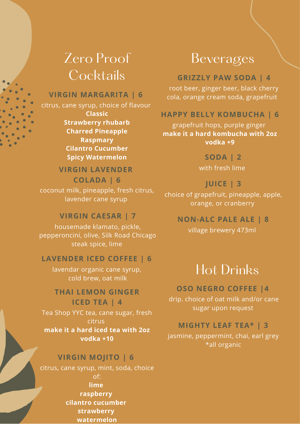### Zero Proof **Cocktails**

#### **VIRGIN MARGARITA | 6**

citrus, cane syrup, choice of flavour

**Classic Strawberry rhubarb Charred Pineapple Raspmary Cilantro Cucumber Spicy Watermelon**

#### **VIRGIN LAVENDER COLADA | 6**

coconut milk, pineapple, fresh citrus, lavender cane syrup

#### **VIRGIN CAESAR | 7**

housemade klamato, pickle, pepperoncini, olive, Silk Road Chicago steak spice, lime

#### **LAVENDER ICED COFFEE | 6**

lavendar organic cane syrup, cold brew, oat milk

#### **THAI LEMON GINGER ICED TEA | 4**

Tea Shop YYC tea, cane sugar, fresh citrus

#### **make it a hard iced tea with 2oz vodka +10**

#### **VIRGIN MOJITO | 6**

citrus, cane syrup, mint, soda, choice of: **lime raspberry cilantro cucumber strawberry watermelon**

### Beverages

#### **GRIZZLY PAW SODA | 4**

root beer, ginger beer, black cherry cola, orange cream soda, grapefruit

#### **HAPPY BELLY KOMBUCHA | 6**

grapefruit hops, purple ginger **make it a hard kombucha with 2oz vodka +9**

> **SODA | 2** with fresh lime

#### **JUICE | 3**

choice of grapefruit, pineapple, apple, orange, or cranberry

**NON-ALC PALE ALE | 8**

village brewery 473ml

## Hot Drinks

#### **OSO NEGRO COFFEE |4**

drip. choice of oat milk and/or cane sugar upon request

#### **MIGHTY LEAF TEA\* | 3**

jasmine, peppermint, chai, earl grey \*all organic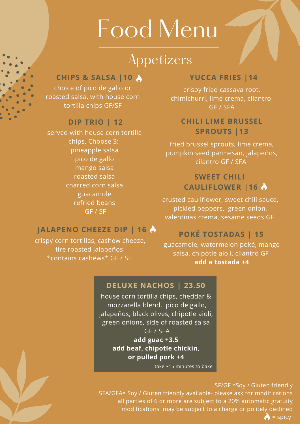# Food Menu

# Appetizers

#### **CHIPS & SALSA |10**

choice of pico de gallo or roasted salsa, with house corn tortilla chips GF/SF

#### **DIP TRIO | 12**

served with house corn tortilla chips. Choose 3: pineapple salsa pico de gallo mango salsa roasted salsa charred corn salsa guacamole refried beans GF / SF

#### **YUCCA FRIES |14**

crispy fried cassava root, chimichurri, lime crema, cilantro GF / SFA

#### **CHILI LIME BRUSSEL SPROUTS |13**

fried brussel sprouts, lime crema, pumpkin seed parmesan, jalapeños, cilantro GF / SFA

#### **SWEET CHILI CAULIFLOWER |16**

crusted cauliflower, sweet chili sauce, pickled peppers, green onion, valentinas crema, sesame seeds GF

#### **JALAPENO CHEEZE DIP | 16**

crispy corn tortillas, cashew cheeze, fire roasted jalapeños \*contains cashews\* GF / SF

#### **POKÉ TOSTADAS | 15**

guacamole, watermelon poké, mango salsa, chipotle aioli, cilantro GF **add a tostada +4**

#### **DELUXE NACHOS | 23.50**

house corn tortilla chips, cheddar & mozzarella blend, pico de gallo, jalapeños, black olives, chipotle aioli, green onions, side of roasted salsa GF / SFA

> **add guac +3.5 add beaf, chipotle chickin, or pulled pork +4**

> > take ~15 minutes to bake

SF/GF =Soy / Gluten friendly SFA/GFA= Soy / Gluten friendly available- please ask for modifications all parties of 6 or more are subject to a 20% automatic gratuity modifications may be subject to a charge or politely declined  $\triangle$  = spicy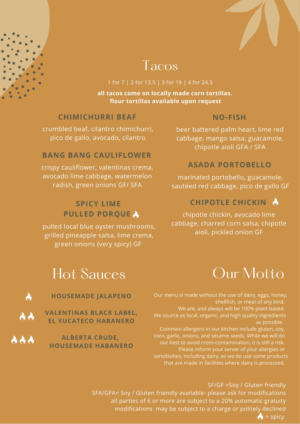



### Tacos

1 for 7 | 2 for 13.5 | 3 for 19 | 4 for 24.5

**all tacos come on locally made corn tortillas. flour tortillas available upon request**

#### **CHIMICHURRI BEAF**

crumbled beaf, cilantro chimichurri, pico de gallo, avocado, cilantro

#### **BANG BANG CAULIFLOWER**

crispy cauliflower, valentinas crema, avocado lime cabbage, watermelon radish, green onions GF/ SFA

#### **SPICY LIME PULLED PORQUE**

pulled local blue oyster mushrooms, grilled pineapple salsa, lime crema, green onions (very spicy) GF

#### **NO-FISH**

beer battered palm heart, lime red cabbage, mango salsa, guacamole, chipotle aioli GFA / SFA

#### **ASADA PORTOBELLO**

marinated portobello, guacamole, sautéed red cabbage, pico de gallo GF

#### **CHIPOTLE CHICKIN**

chipotle chickin, avocado lime cabbage, charred corn salsa, chipotle aioli, pickled onion GF

# Hot Sauces

**HOUSEMADE JALAPENO**

**VALENTINAS BLACK LABEL, EL YUCATECO HABANERO**

**ALBERTA CRUDE, HOUSEMADE HABANERO**

# Our Motto

Our menu is made without the use of dairy, eggs, honey, shellfish, or meat of any kind.

We are, and always will be 100% plant-based. We source as local, organic, and high quality ingredients as possible.

Common allergens in our kitchen include gluten, soy, corn, garlic, onions, and sesame seeds. While we will do our best to avoid cross-contamination, it is still a risk. Please inform your server of your allergies or sensitivities, including dairy, as we do use some products that are made in facilities where dairy is processed.

#### SF/GF =Soy / Gluten friendly

SFA/GFA= Soy / Gluten friendly available- please ask for modifications all parties of 6 or more are subject to a 20% automatic gratuity modifications may be subject to a charge or politely declined  $\triangle$  = spicy